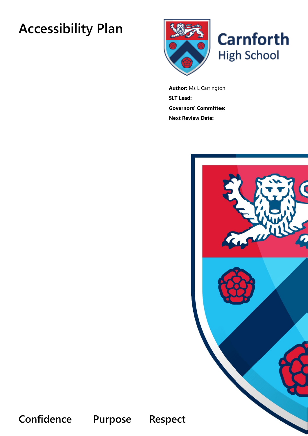# **Accessibility Plan**



**Author:** Ms L Carrington **SLT Lead: Governors' Committee: Next Review Date:**



**Confidence Purpose Respect**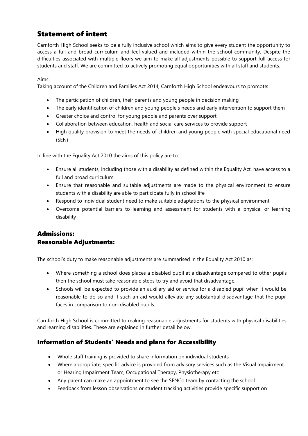# Statement of intent

Carnforth High School seeks to be a fully inclusive school which aims to give every student the opportunity to access a full and broad curriculum and feel valued and included within the school community. Despite the difficulties associated with multiple floors we aim to make all adjustments possible to support full access for students and staff. We are committed to actively promoting equal opportunities with all staff and students.

Aims:

Taking account of the Children and Families Act 2014, Carnforth High School endeavours to promote:

- The participation of children, their parents and young people in decision making
- The early identification of children and young people's needs and early intervention to support them
- Greater choice and control for young people and parents over support
- Collaboration between education, health and social care services to provide support
- High quality provision to meet the needs of children and young people with special educational need (SEN)

In line with the Equality Act 2010 the aims of this policy are to:

- Ensure all students, including those with a disability as defined within the Equality Act, have access to a full and broad curriculum
- Ensure that reasonable and suitable adjustments are made to the physical environment to ensure students with a disability are able to participate fully in school life
- Respond to individual student need to make suitable adaptations to the physical environment
- Overcome potential barriers to learning and assessment for students with a physical or learning disability

#### Admissions: Reasonable Adjustments:

The school's duty to make reasonable adjustments are summarised in the Equality Act 2010 as:

- Where something a school does places a disabled pupil at a disadvantage compared to other pupils then the school must take reasonable steps to try and avoid that disadvantage.
- Schools will be expected to provide an auxiliary aid or service for a disabled pupil when it would be reasonable to do so and if such an aid would alleviate any substantial disadvantage that the pupil faces in comparison to non-disabled pupils.

Carnforth High School is committed to making reasonable adjustments for students with physical disabilities and learning disabilities. These are explained in further detail below.

#### Information of Students' Needs and plans for Accessibility

- Whole staff training is provided to share information on individual students
- Where appropriate, specific advice is provided from advisory services such as the Visual Impairment or Hearing Impairment Team, Occupational Therapy, Physiotherapy etc
- Any parent can make an appointment to see the SENCo team by contacting the school
- Feedback from lesson observations or student tracking activities provide specific support on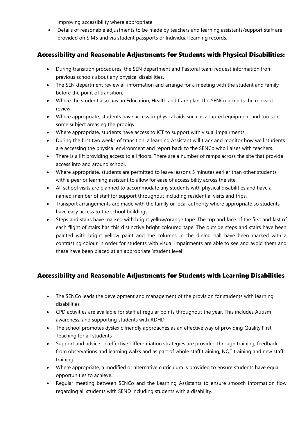improving accessibility where appropriate

• Details of reasonable adjustments to be made by teachers and learning assistants/support staff are provided on SIMS and via student passports or Individual learning records.

## Accessibility and Reasonable Adjustments for Students with Physical Disabilities:

- During transition procedures, the SEN department and Pastoral team request information from previous schools about any physical disabilities.
- The SEN department review all information and arrange for a meeting with the student and family before the point of transition.
- Where the student also has an Education, Health and Care plan, the SENCo attends the relevant review.
- Where appropriate, students have access to physical aids such as adapted equipment and tools in some subject areas eg the prodigy.
- Where appropriate, students have access to ICT to support with visual impairments.
- During the first two weeks of transition, a learning Assistant will track and monitor how well students are accessing the physical environment and report back to the SENCo who liaises with teachers.
- There is a lift providing access to all floors. There are a number of ramps across the site that provide access into and around school.
- Where appropriate, students are permitted to leave lessons 5 minutes earlier than other students with a peer or learning assistant to allow for ease of accessibility across the site.
- All school visits are planned to accommodate any students with physical disabilities and have a named member of staff for support throughout including residential visits and trips.
- Transport arrangements are made with the family or local authority where appropriate so students have easy access to the school buildings.
- Steps and stairs have marked with bright yellow/orange tape. The top and face of the first and last of each flight of stairs has this distinctive bright coloured tape. The outside steps and stairs have been painted with bright yellow paint and the columns in the dining hall have been marked with a contrasting colour in order for students with visual impairments are able to see and avoid them and these have been placed at an appropriate 'student level'

## Accessibility and Reasonable Adjustments for Students with Learning Disabilities

- The SENCo leads the development and management of the provision for students with learning disabilities
- CPD activities are available for staff at regular points throughout the year. This includes Autism awareness, and supporting students with ADHD
- The school promotes dyslexic friendly approaches as an effective way of providing Quality First Teaching for all students
- Support and advice on effective differentiation strategies are provided through training, feedback from observations and learning walks and as part of whole staff training, NQT training and new staff training
- Where appropriate, a modified or alternative curriculum is provided to ensure students have equal opportunities to achieve.
- Regular meeting between SENCo and the Learning Assistants to ensure smooth information flow regarding all students with SEND including students with a disability.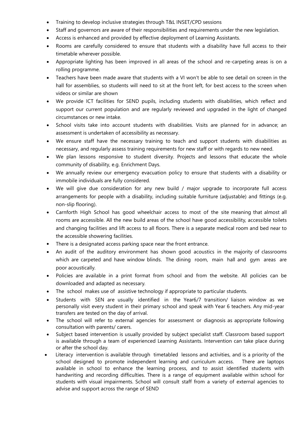- Training to develop inclusive strategies through T&L INSET/CPD sessions
- Staff and governors are aware of their responsibilities and requirements under the new legislation.
- Access is enhanced and provided by effective deployment of Learning Assistants.
- Rooms are carefully considered to ensure that students with a disability have full access to their timetable wherever possible.
- Appropriate lighting has been improved in all areas of the school and re-carpeting areas is on a rolling programme.
- Teachers have been made aware that students with a VI won't be able to see detail on screen in the hall for assemblies, so students will need to sit at the front left, for best access to the screen when videos or similar are shown
- We provide ICT facilities for SEND pupils, including students with disabilities, which reflect and support our current population and are regularly reviewed and upgraded in the light of changed circumstances or new intake.
- School visits take into account students with disabilities. Visits are planned for in advance; an assessment is undertaken of accessibility as necessary.
- We ensure staff have the necessary training to teach and support students with disabilities as necessary, and regularly assess training requirements for new staff or with regards to new need.
- We plan lessons responsive to student diversity. Projects and lessons that educate the whole community of disability, e.g. Enrichment Days.
- We annually review our emergency evacuation policy to ensure that students with a disability or immobile individuals are fully considered.
- We will give due consideration for any new build / major upgrade to incorporate full access arrangements for people with a disability, including suitable furniture (adjustable) and fittings (e.g. non-slip flooring).
- Carnforth High School has good wheelchair access to most of the site meaning that almost all rooms are accessible. All the new build areas of the school have good accessibility, accessible toilets and changing facilities and lift access to all floors. There is a separate medical room and bed near to the accessible showering facilities.
- There is a designated access parking space near the front entrance.
- An audit of the auditory environment has shown good acoustics in the majority of classrooms which are carpeted and have window blinds. The dining room, main hall and gym areas are poor acoustically.
- Policies are available in a print format from school and from the website. All policies can be downloaded and adapted as necessary.
- The school makes use of assistive technology if appropriate to particular students.
- Students with SEN are usually identified in the Year6/7 transition/ liaison window as we personally visit every student in their primary school and speak with Year 6 teachers. Any mid-year transfers are tested on the day of arrival.
- The school will refer to external agencies for assessment or diagnosis as appropriate following consultation with parents/ carers.
- Subject based intervention is usually provided by subject specialist staff. Classroom based support is available through a team of experienced Learning Assistants. Intervention can take place during or after the school day.
- Literacy intervention is available through timetabled lessons and activities, and is a priority of the school designed to promote independent learning and curriculum access. There are laptops available in school to enhance the learning process, and to assist identified students with handwriting and recording difficulties. There is a range of equipment available within school for students with visual impairments. School will consult staff from a variety of external agencies to advise and support across the range of SEND